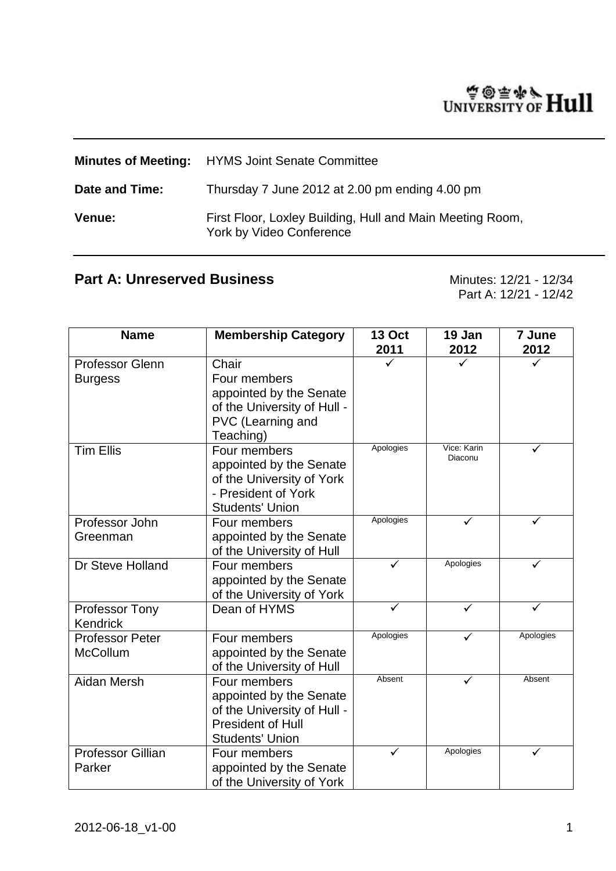# WINTERSITY OF Hull

|                | <b>Minutes of Meeting:</b> HYMS Joint Senate Committee                                |
|----------------|---------------------------------------------------------------------------------------|
| Date and Time: | Thursday 7 June 2012 at 2.00 pm ending 4.00 pm                                        |
| <b>Venue:</b>  | First Floor, Loxley Building, Hull and Main Meeting Room,<br>York by Video Conference |

## Part A: Unreserved Business Minutes: 12/21 - 12/34

Part A: 12/21 - 12/42

| <b>Name</b>                               | <b>Membership Category</b>                                                                                                   | <b>13 Oct</b><br>2011 | 19 Jan<br>2012         | 7 June<br>2012 |
|-------------------------------------------|------------------------------------------------------------------------------------------------------------------------------|-----------------------|------------------------|----------------|
| <b>Professor Glenn</b><br><b>Burgess</b>  | Chair<br>Four members<br>appointed by the Senate<br>of the University of Hull -<br>PVC (Learning and<br>Teaching)            |                       |                        |                |
| <b>Tim Ellis</b>                          | Four members<br>appointed by the Senate<br>of the University of York<br>- President of York<br><b>Students' Union</b>        | Apologies             | Vice: Karin<br>Diaconu |                |
| Professor John<br>Greenman                | Four members<br>appointed by the Senate<br>of the University of Hull                                                         | Apologies             |                        |                |
| Dr Steve Holland                          | Four members<br>appointed by the Senate<br>of the University of York                                                         | ✓                     | Apologies              | ✓              |
| Professor Tony<br><b>Kendrick</b>         | Dean of HYMS                                                                                                                 | ✓                     | ✓                      |                |
| <b>Professor Peter</b><br><b>McCollum</b> | Four members<br>appointed by the Senate<br>of the University of Hull                                                         | Apologies             | ✓                      | Apologies      |
| Aidan Mersh                               | Four members<br>appointed by the Senate<br>of the University of Hull -<br><b>President of Hull</b><br><b>Students' Union</b> | Absent                | ✓                      | Absent         |
| <b>Professor Gillian</b><br>Parker        | Four members<br>appointed by the Senate<br>of the University of York                                                         | ✓                     | Apologies              |                |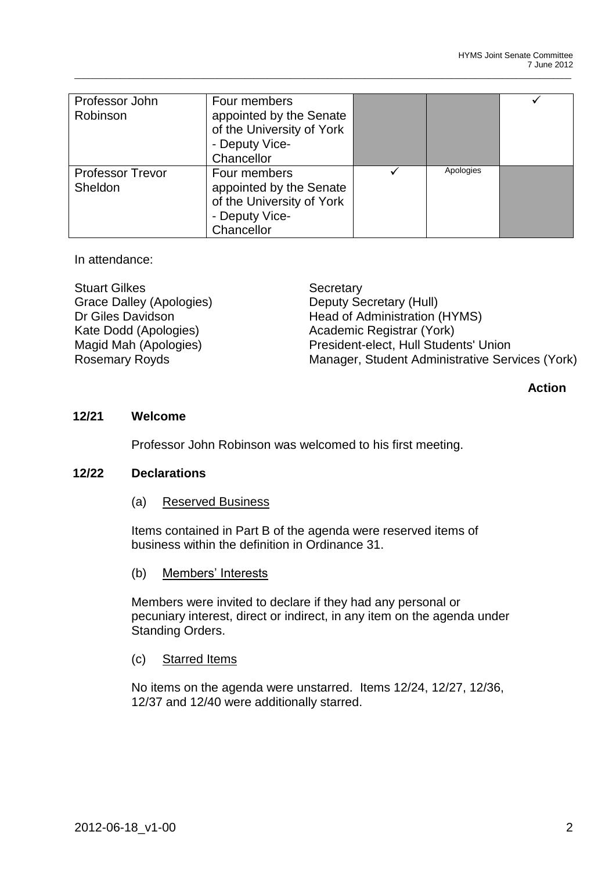| Professor John<br>Robinson         | Four members<br>appointed by the Senate<br>of the University of York<br>- Deputy Vice-<br>Chancellor |           |  |
|------------------------------------|------------------------------------------------------------------------------------------------------|-----------|--|
| <b>Professor Trevor</b><br>Sheldon | Four members<br>appointed by the Senate<br>of the University of York<br>- Deputy Vice-<br>Chancellor | Apologies |  |

In attendance:

Stuart Gilkes Secretary Grace Dalley (Apologies) Deputy Secretary (Hull)

Dr Giles Davidson Head of Administration (HYMS) Kate Dodd (Apologies) <br>
Maaid Mah (Apologies) 
Academic Registrar (York)<br>
President-elect, Hull Stude President-elect, Hull Students' Union Rosemary Royds Manager, Student Administrative Services (York)

## **Action**

## **12/21 Welcome**

Professor John Robinson was welcomed to his first meeting.

## **12/22 Declarations**

(a) Reserved Business

Items contained in Part B of the agenda were reserved items of business within the definition in Ordinance 31.

(b) Members' Interests

Members were invited to declare if they had any personal or pecuniary interest, direct or indirect, in any item on the agenda under Standing Orders.

## (c) Starred Items

No items on the agenda were unstarred. Items 12/24, 12/27, 12/36, 12/37 and 12/40 were additionally starred.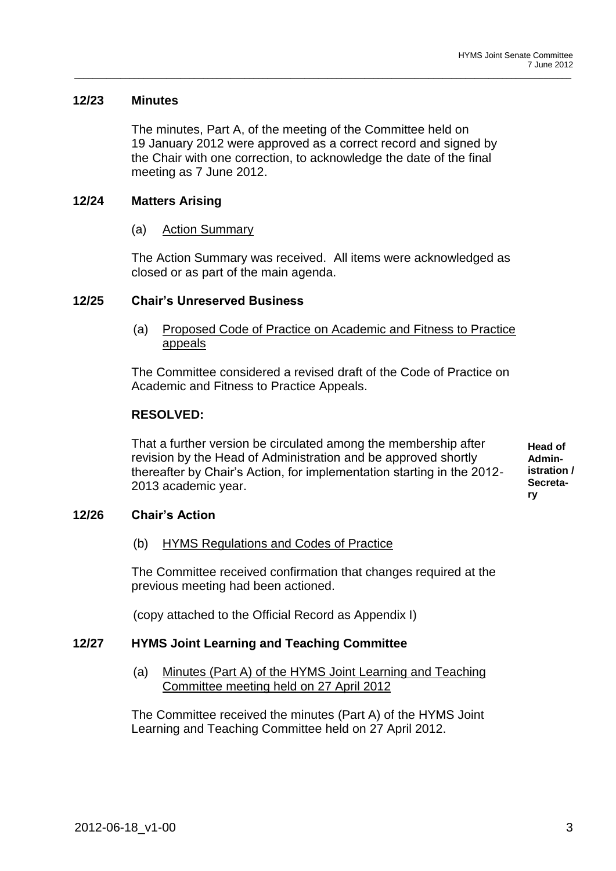## **12/23 Minutes**

The minutes, Part A, of the meeting of the Committee held on 19 January 2012 were approved as a correct record and signed by the Chair with one correction, to acknowledge the date of the final meeting as 7 June 2012.

\_\_\_\_\_\_\_\_\_\_\_\_\_\_\_\_\_\_\_\_\_\_\_\_\_\_\_\_\_\_\_\_\_\_\_\_\_\_\_\_\_\_\_\_\_\_\_\_\_\_\_\_\_\_\_\_\_\_\_\_\_\_\_\_\_\_\_\_\_\_\_\_\_\_\_\_\_\_\_\_\_\_\_\_\_\_\_\_\_\_\_\_\_\_\_\_\_\_\_\_\_\_\_\_\_\_\_\_

## **12/24 Matters Arising**

(a) Action Summary

The Action Summary was received. All items were acknowledged as closed or as part of the main agenda.

## **12/25 Chair's Unreserved Business**

(a) Proposed Code of Practice on Academic and Fitness to Practice appeals

The Committee considered a revised draft of the Code of Practice on Academic and Fitness to Practice Appeals.

## **RESOLVED:**

That a further version be circulated among the membership after revision by the Head of Administration and be approved shortly thereafter by Chair's Action, for implementation starting in the 2012- 2013 academic year.

**Head of Administration / Secretary**

## **12/26 Chair's Action**

(b) HYMS Regulations and Codes of Practice

The Committee received confirmation that changes required at the previous meeting had been actioned.

(copy attached to the Official Record as Appendix I)

## **12/27 HYMS Joint Learning and Teaching Committee**

(a) Minutes (Part A) of the HYMS Joint Learning and Teaching Committee meeting held on 27 April 2012

The Committee received the minutes (Part A) of the HYMS Joint Learning and Teaching Committee held on 27 April 2012.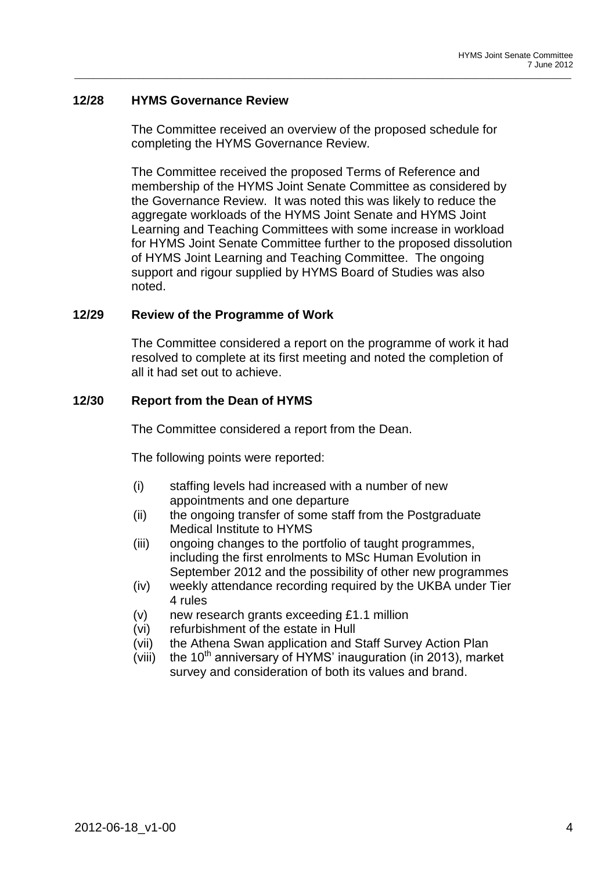## **12/28 HYMS Governance Review**

The Committee received an overview of the proposed schedule for completing the HYMS Governance Review.

\_\_\_\_\_\_\_\_\_\_\_\_\_\_\_\_\_\_\_\_\_\_\_\_\_\_\_\_\_\_\_\_\_\_\_\_\_\_\_\_\_\_\_\_\_\_\_\_\_\_\_\_\_\_\_\_\_\_\_\_\_\_\_\_\_\_\_\_\_\_\_\_\_\_\_\_\_\_\_\_\_\_\_\_\_\_\_\_\_\_\_\_\_\_\_\_\_\_\_\_\_\_\_\_\_\_\_\_

The Committee received the proposed Terms of Reference and membership of the HYMS Joint Senate Committee as considered by the Governance Review. It was noted this was likely to reduce the aggregate workloads of the HYMS Joint Senate and HYMS Joint Learning and Teaching Committees with some increase in workload for HYMS Joint Senate Committee further to the proposed dissolution of HYMS Joint Learning and Teaching Committee. The ongoing support and rigour supplied by HYMS Board of Studies was also noted.

## **12/29 Review of the Programme of Work**

The Committee considered a report on the programme of work it had resolved to complete at its first meeting and noted the completion of all it had set out to achieve.

## **12/30 Report from the Dean of HYMS**

The Committee considered a report from the Dean.

The following points were reported:

- (i) staffing levels had increased with a number of new appointments and one departure
- (ii) the ongoing transfer of some staff from the Postgraduate Medical Institute to HYMS
- (iii) ongoing changes to the portfolio of taught programmes, including the first enrolments to MSc Human Evolution in September 2012 and the possibility of other new programmes
- (iv) weekly attendance recording required by the UKBA under Tier 4 rules
- (v) new research grants exceeding £1.1 million
- (vi) refurbishment of the estate in Hull
- (vii) the Athena Swan application and Staff Survey Action Plan
- (viii) the  $10<sup>th</sup>$  anniversary of HYMS' inauguration (in 2013), market survey and consideration of both its values and brand.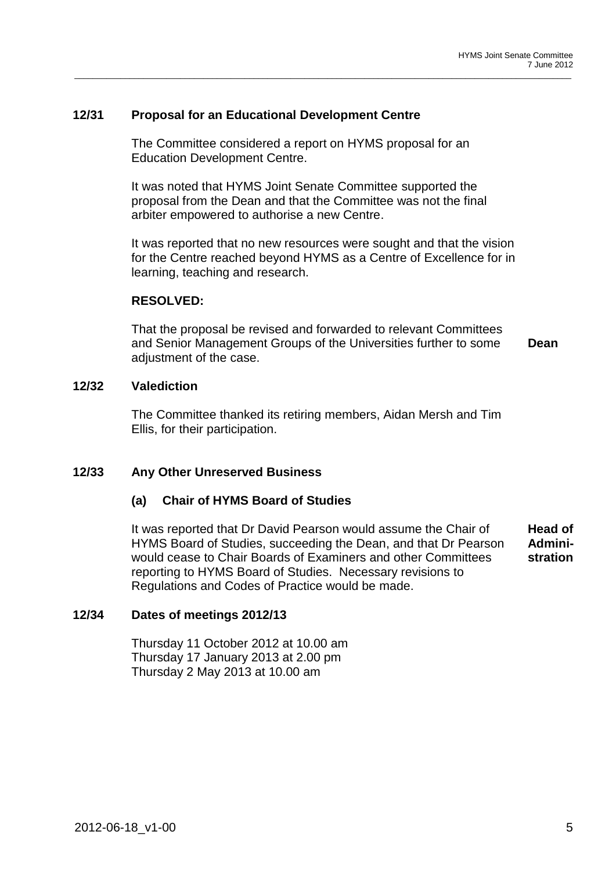## **12/31 Proposal for an Educational Development Centre**

The Committee considered a report on HYMS proposal for an Education Development Centre.

\_\_\_\_\_\_\_\_\_\_\_\_\_\_\_\_\_\_\_\_\_\_\_\_\_\_\_\_\_\_\_\_\_\_\_\_\_\_\_\_\_\_\_\_\_\_\_\_\_\_\_\_\_\_\_\_\_\_\_\_\_\_\_\_\_\_\_\_\_\_\_\_\_\_\_\_\_\_\_\_\_\_\_\_\_\_\_\_\_\_\_\_\_\_\_\_\_\_\_\_\_\_\_\_\_\_\_\_

It was noted that HYMS Joint Senate Committee supported the proposal from the Dean and that the Committee was not the final arbiter empowered to authorise a new Centre.

It was reported that no new resources were sought and that the vision for the Centre reached beyond HYMS as a Centre of Excellence for in learning, teaching and research.

## **RESOLVED:**

That the proposal be revised and forwarded to relevant Committees and Senior Management Groups of the Universities further to some adiustment of the case. **Dean**

## **12/32 Valediction**

The Committee thanked its retiring members, Aidan Mersh and Tim Ellis, for their participation.

## **12/33 Any Other Unreserved Business**

## **(a) Chair of HYMS Board of Studies**

It was reported that Dr David Pearson would assume the Chair of HYMS Board of Studies, succeeding the Dean, and that Dr Pearson would cease to Chair Boards of Examiners and other Committees reporting to HYMS Board of Studies. Necessary revisions to Regulations and Codes of Practice would be made. **Head of Administration**

## **12/34 Dates of meetings 2012/13**

Thursday 11 October 2012 at 10.00 am Thursday 17 January 2013 at 2.00 pm Thursday 2 May 2013 at 10.00 am